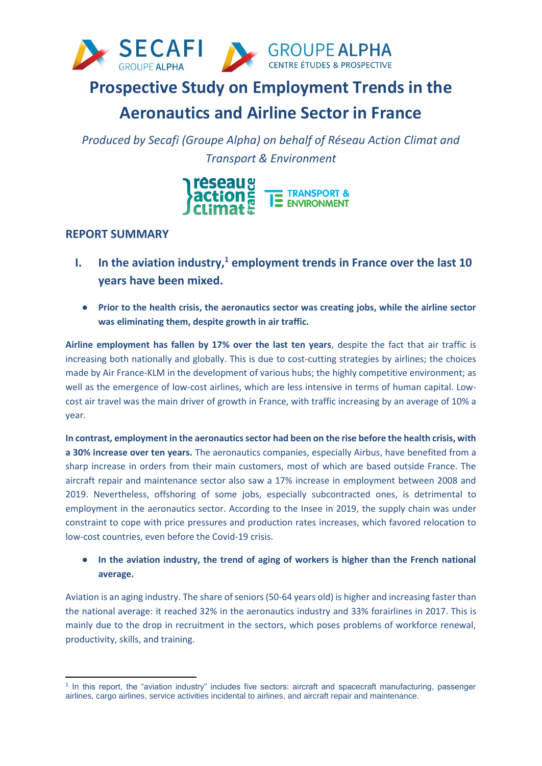

# **Prospective Study on Employment Trends in the**

# **Aeronautics and Airline Sector in France**

*Produced by Secafi (Groupe Alpha) on behalf of Réseau Action Climat and Transport & Environment*



## **REPORT SUMMARY**

-

- **I. In the aviation industry,<sup>1</sup> employment trends in France over the last 10 years have been mixed.**
	- **Prior to the health crisis, the aeronautics sector was creating jobs, while the airline sector was eliminating them, despite growth in air traffic.**

**Airline employment has fallen by 17% over the last ten years**, despite the fact that air traffic is increasing both nationally and globally. This is due to cost-cutting strategies by airlines; the choices made by Air France-KLM in the development of various hubs; the highly competitive environment; as well as the emergence of low-cost airlines, which are less intensive in terms of human capital. Lowcost air travel was the main driver of growth in France, with traffic increasing by an average of 10% a year.

**In contrast, employment in the aeronautics sector had been on the rise before the health crisis, with a 30% increase over ten years.** The aeronautics companies, especially Airbus, have benefited from a sharp increase in orders from their main customers, most of which are based outside France. The aircraft repair and maintenance sector also saw a 17% increase in employment between 2008 and 2019. Nevertheless, offshoring of some jobs, especially subcontracted ones, is detrimental to employment in the aeronautics sector. According to the Insee in 2019, the supply chain was under constraint to cope with price pressures and production rates increases, which favored relocation to low-cost countries, even before the Covid-19 crisis.

● **In the aviation industry, the trend of aging of workers is higher than the French national average.**

Aviation is an aging industry. The share of seniors (50-64 years old) is higher and increasing faster than the national average: it reached 32% in the aeronautics industry and 33% forairlines in 2017. This is mainly due to the drop in recruitment in the sectors, which poses problems of workforce renewal, productivity, skills, and training.

<sup>1</sup> In this report, the "aviation industry" includes five sectors: aircraft and spacecraft manufacturing, passenger airlines, cargo airlines, service activities incidental to airlines, and aircraft repair and maintenance.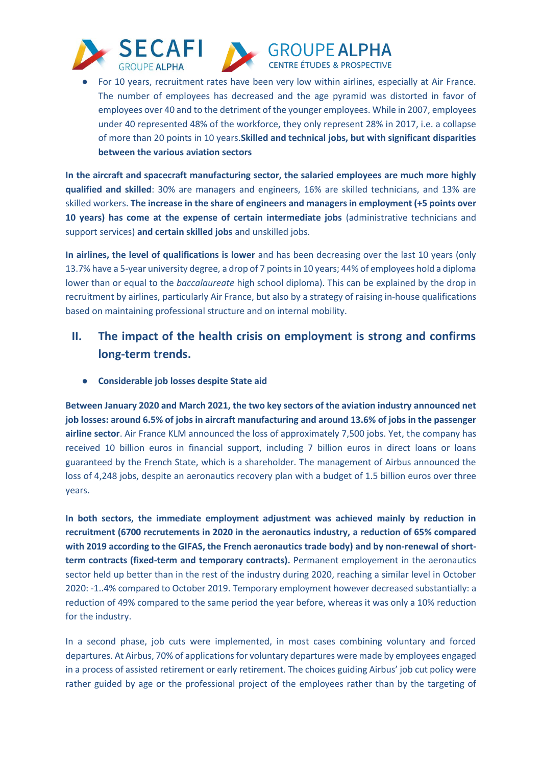





● For 10 years, recruitment rates have been very low within airlines, especially at Air France. The number of employees has decreased and the age pyramid was distorted in favor of employees over 40 and to the detriment of the younger employees. While in 2007, employees under 40 represented 48% of the workforce, they only represent 28% in 2017, i.e. a collapse of more than 20 points in 10 years.**Skilled and technical jobs, but with significant disparities between the various aviation sectors** 

**In the aircraft and spacecraft manufacturing sector, the salaried employees are much more highly qualified and skilled**: 30% are managers and engineers, 16% are skilled technicians, and 13% are skilled workers. **The increase in the share of engineers and managers in employment (+5 points over 10 years) has come at the expense of certain intermediate jobs** (administrative technicians and support services) **and certain skilled jobs** and unskilled jobs.

**In airlines, the level of qualifications is lower** and has been decreasing over the last 10 years (only 13.7% have a 5-year university degree, a drop of 7 points in 10 years; 44% of employees hold a diploma lower than or equal to the *baccalaureate* high school diploma). This can be explained by the drop in recruitment by airlines, particularly Air France, but also by a strategy of raising in-house qualifications based on maintaining professional structure and on internal mobility.

# **II. The impact of the health crisis on employment is strong and confirms long-term trends.**

● **Considerable job losses despite State aid**

**Between January 2020 and March 2021, the two key sectors of the aviation industry announced net job losses: around 6.5% of jobs in aircraft manufacturing and around 13.6% of jobs in the passenger airline sector**. Air France KLM announced the loss of approximately 7,500 jobs. Yet, the company has received 10 billion euros in financial support, including 7 billion euros in direct loans or loans guaranteed by the French State, which is a shareholder. The management of Airbus announced the loss of 4,248 jobs, despite an aeronautics recovery plan with a budget of 1.5 billion euros over three years.

**In both sectors, the immediate employment adjustment was achieved mainly by reduction in recruitment (6700 recrutements in 2020 in the aeronautics industry, a reduction of 65% compared with 2019 according to the GIFAS, the French aeronautics trade body) and by non-renewal of shortterm contracts (fixed-term and temporary contracts).** Permanent employement in the aeronautics sector held up better than in the rest of the industry during 2020, reaching a similar level in October 2020: -1..4% compared to October 2019. Temporary employment however decreased substantially: a reduction of 49% compared to the same period the year before, whereas it was only a 10% reduction for the industry.

In a second phase, job cuts were implemented, in most cases combining voluntary and forced departures. At Airbus, 70% of applications for voluntary departures were made by employees engaged in a process of assisted retirement or early retirement. The choices guiding Airbus' job cut policy were rather guided by age or the professional project of the employees rather than by the targeting of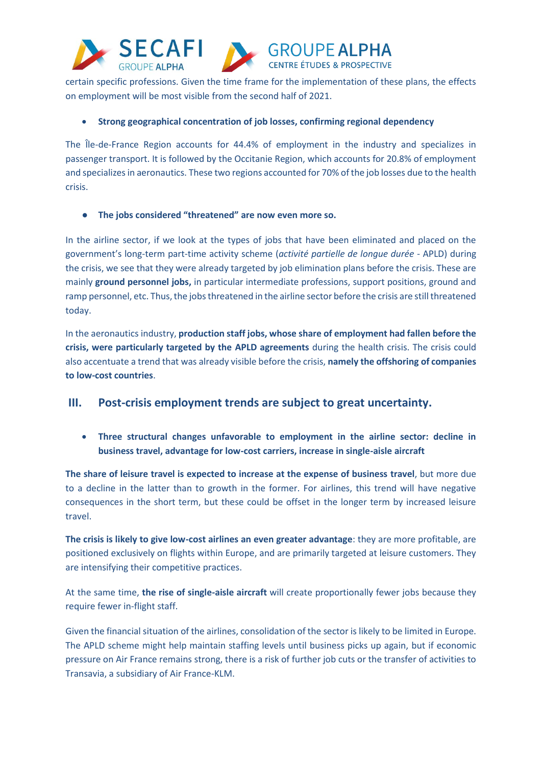





certain specific professions. Given the time frame for the implementation of these plans, the effects on employment will be most visible from the second half of 2021.

#### **Strong geographical concentration of job losses, confirming regional dependency**

The Île-de-France Region accounts for 44.4% of employment in the industry and specializes in passenger transport. It is followed by the Occitanie Region, which accounts for 20.8% of employment and specializes in aeronautics. These two regions accounted for 70% of the job losses due to the health crisis.

#### ● **The jobs considered "threatened" are now even more so.**

In the airline sector, if we look at the types of jobs that have been eliminated and placed on the government's long-term part-time activity scheme (*activité partielle de longue durée* - APLD) during the crisis, we see that they were already targeted by job elimination plans before the crisis. These are mainly **ground personnel jobs,** in particular intermediate professions, support positions, ground and ramp personnel, etc. Thus, the jobs threatened in the airline sector before the crisis are still threatened today.

In the aeronautics industry, **production staff jobs, whose share of employment had fallen before the crisis, were particularly targeted by the APLD agreements** during the health crisis. The crisis could also accentuate a trend that was already visible before the crisis, **namely the offshoring of companies to low-cost countries**.

### **III. Post-crisis employment trends are subject to great uncertainty.**

 **Three structural changes unfavorable to employment in the airline sector: decline in business travel, advantage for low-cost carriers, increase in single-aisle aircraft**

**The share of leisure travel is expected to increase at the expense of business travel**, but more due to a decline in the latter than to growth in the former. For airlines, this trend will have negative consequences in the short term, but these could be offset in the longer term by increased leisure travel.

**The crisis is likely to give low-cost airlines an even greater advantage**: they are more profitable, are positioned exclusively on flights within Europe, and are primarily targeted at leisure customers. They are intensifying their competitive practices.

At the same time, **the rise of single-aisle aircraft** will create proportionally fewer jobs because they require fewer in-flight staff.

Given the financial situation of the airlines, consolidation of the sector is likely to be limited in Europe. The APLD scheme might help maintain staffing levels until business picks up again, but if economic pressure on Air France remains strong, there is a risk of further job cuts or the transfer of activities to Transavia, a subsidiary of Air France-KLM.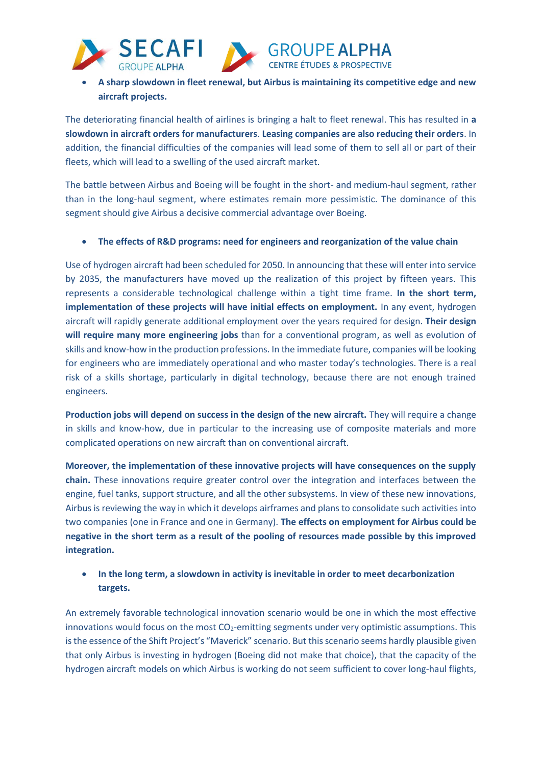





 **A sharp slowdown in fleet renewal, but Airbus is maintaining its competitive edge and new aircraft projects.**

The deteriorating financial health of airlines is bringing a halt to fleet renewal. This has resulted in **a slowdown in aircraft orders for manufacturers**. **Leasing companies are also reducing their orders**. In addition, the financial difficulties of the companies will lead some of them to sell all or part of their fleets, which will lead to a swelling of the used aircraft market.

The battle between Airbus and Boeing will be fought in the short- and medium-haul segment, rather than in the long-haul segment, where estimates remain more pessimistic. The dominance of this segment should give Airbus a decisive commercial advantage over Boeing.

**The effects of R&D programs: need for engineers and reorganization of the value chain**

Use of hydrogen aircraft had been scheduled for 2050. In announcing that these will enter into service by 2035, the manufacturers have moved up the realization of this project by fifteen years. This represents a considerable technological challenge within a tight time frame. **In the short term, implementation of these projects will have initial effects on employment.** In any event, hydrogen aircraft will rapidly generate additional employment over the years required for design. **Their design will require many more engineering jobs** than for a conventional program, as well as evolution of skills and know-how in the production professions. In the immediate future, companies will be looking for engineers who are immediately operational and who master today's technologies. There is a real risk of a skills shortage, particularly in digital technology, because there are not enough trained engineers.

**Production jobs will depend on success in the design of the new aircraft.** They will require a change in skills and know-how, due in particular to the increasing use of composite materials and more complicated operations on new aircraft than on conventional aircraft.

**Moreover, the implementation of these innovative projects will have consequences on the supply chain.** These innovations require greater control over the integration and interfaces between the engine, fuel tanks, support structure, and all the other subsystems. In view of these new innovations, Airbus is reviewing the way in which it develops airframes and plans to consolidate such activities into two companies (one in France and one in Germany). **The effects on employment for Airbus could be negative in the short term as a result of the pooling of resources made possible by this improved integration.** 

### **In the long term, a slowdown in activity is inevitable in order to meet decarbonization targets.**

An extremely favorable technological innovation scenario would be one in which the most effective innovations would focus on the most  $CO<sub>2</sub>$ -emitting segments under very optimistic assumptions. This is the essence of the Shift Project's "Maverick" scenario. But this scenario seems hardly plausible given that only Airbus is investing in hydrogen (Boeing did not make that choice), that the capacity of the hydrogen aircraft models on which Airbus is working do not seem sufficient to cover long-haul flights,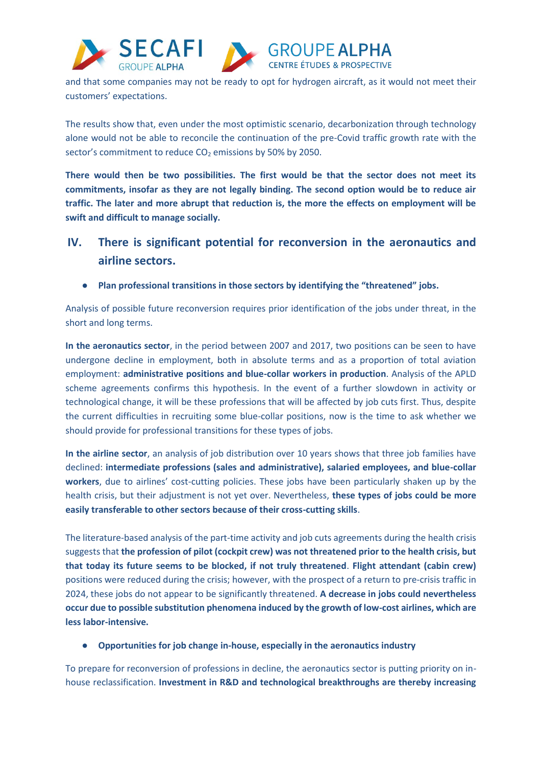



**GROUPE ALPHA CENTRE ÉTUDES & PROSPECTIVE** 

and that some companies may not be ready to opt for hydrogen aircraft, as it would not meet their customers' expectations.

The results show that, even under the most optimistic scenario, decarbonization through technology alone would not be able to reconcile the continuation of the pre-Covid traffic growth rate with the sector's commitment to reduce CO<sub>2</sub> emissions by 50% by 2050.

**There would then be two possibilities. The first would be that the sector does not meet its commitments, insofar as they are not legally binding. The second option would be to reduce air traffic. The later and more abrupt that reduction is, the more the effects on employment will be swift and difficult to manage socially.** 

- **IV. There is significant potential for reconversion in the aeronautics and airline sectors.**
	- **Plan professional transitions in those sectors by identifying the "threatened" jobs.**

Analysis of possible future reconversion requires prior identification of the jobs under threat, in the short and long terms.

**In the aeronautics sector**, in the period between 2007 and 2017, two positions can be seen to have undergone decline in employment, both in absolute terms and as a proportion of total aviation employment: **administrative positions and blue-collar workers in production**. Analysis of the APLD scheme agreements confirms this hypothesis. In the event of a further slowdown in activity or technological change, it will be these professions that will be affected by job cuts first. Thus, despite the current difficulties in recruiting some blue-collar positions, now is the time to ask whether we should provide for professional transitions for these types of jobs.

**In the airline sector**, an analysis of job distribution over 10 years shows that three job families have declined: **intermediate professions (sales and administrative), salaried employees, and blue-collar workers**, due to airlines' cost-cutting policies. These jobs have been particularly shaken up by the health crisis, but their adjustment is not yet over. Nevertheless, **these types of jobs could be more easily transferable to other sectors because of their cross-cutting skills**.

The literature-based analysis of the part-time activity and job cuts agreements during the health crisis suggests that **the profession of pilot (cockpit crew) was not threatened prior to the health crisis, but that today its future seems to be blocked, if not truly threatened**. **Flight attendant (cabin crew)** positions were reduced during the crisis; however, with the prospect of a return to pre-crisis traffic in 2024, these jobs do not appear to be significantly threatened. **A decrease in jobs could nevertheless occur due to possible substitution phenomena induced by the growth of low-cost airlines, which are less labor-intensive.** 

#### ● **Opportunities for job change in-house, especially in the aeronautics industry**

To prepare for reconversion of professions in decline, the aeronautics sector is putting priority on inhouse reclassification. **Investment in R&D and technological breakthroughs are thereby increasing**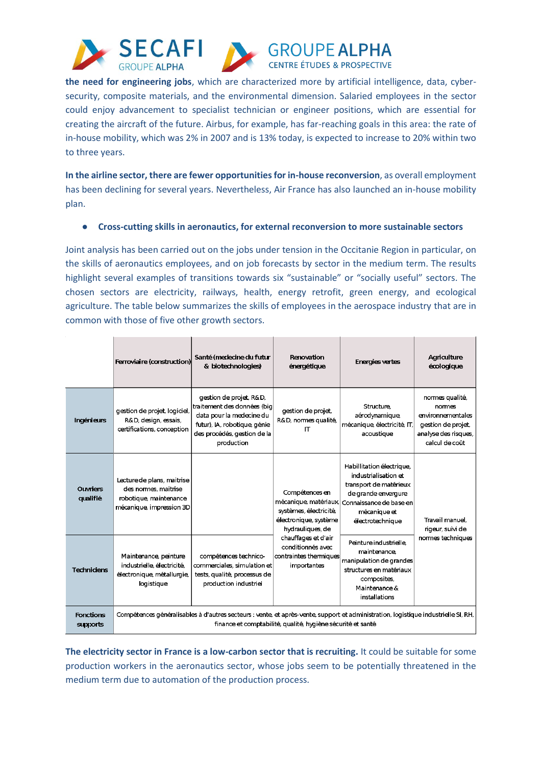





**the need for engineering jobs**, which are characterized more by artificial intelligence, data, cybersecurity, composite materials, and the environmental dimension. Salaried employees in the sector could enjoy advancement to specialist technician or engineer positions, which are essential for creating the aircraft of the future. Airbus, for example, has far-reaching goals in this area: the rate of in-house mobility, which was 2% in 2007 and is 13% today, is expected to increase to 20% within two to three years.

**In the airline sector, there are fewer opportunities for in-house reconversion**, as overall employment has been declining for several years. Nevertheless, Air France has also launched an in-house mobility plan.

● **Cross-cutting skills in aeronautics, for external reconversion to more sustainable sectors**

Joint analysis has been carried out on the jobs under tension in the Occitanie Region in particular, on the skills of aeronautics employees, and on job forecasts by sector in the medium term. The results highlight several examples of transitions towards six "sustainable" or "socially useful" sectors. The chosen sectors are electricity, railways, health, energy retrofit, green energy, and ecological agriculture. The table below summarizes the skills of employees in the aerospace industry that are in common with those of five other growth sectors.

|                                     | Ferroviaire (construction)                                                                                                                                                                        | Santé (medecine du futur<br>& biotechnologies)                                                                                                                  | Renovation<br>énergétique                                                                                                                                                                           | <b>Energies vertes</b>                                                                                                                                            | Agriculture<br>écologique                                                                                     |
|-------------------------------------|---------------------------------------------------------------------------------------------------------------------------------------------------------------------------------------------------|-----------------------------------------------------------------------------------------------------------------------------------------------------------------|-----------------------------------------------------------------------------------------------------------------------------------------------------------------------------------------------------|-------------------------------------------------------------------------------------------------------------------------------------------------------------------|---------------------------------------------------------------------------------------------------------------|
| Ingénieurs                          | gestion de projet, logiciel,<br>R&D, design, essais,<br>certifications, conception                                                                                                                | gestion de projet, R&D,<br>traitement des données (big<br>data pour la medecine du<br>futur), IA, robotique, génie<br>des procédés, gestion de la<br>production | gestion de projet,<br>R&D, normes qualité,<br>IТ                                                                                                                                                    | <b>Structure</b><br>aérodynamique,<br>mécanique, électricité, IT,<br>acoustique                                                                                   | normes qualité,<br>nomes<br>environnementales<br>gestion de projet,<br>analyse des risques,<br>calcul de coût |
| <b>Ouvriers</b><br>qualifié         | Lecture de plans, maitrise<br>des normes, maitrise<br>robotique maintenance<br>mécanique, impression 3D                                                                                           |                                                                                                                                                                 | Compétences en<br>mécanique, matériaux.<br>systèmes, électricité,<br>électronique, système<br>hydrauliques, de<br>chauffages et d'air<br>conditionnés avec<br>contraintes thermiques<br>importantes | Habillitation électrique,<br>industrialisation et<br>transport de matérieux<br>de grande envergure<br>Connaissance de base en<br>mécanique et<br>électrotechnique | Travail manuel.<br>rigeur, suivi de<br>normes techniques                                                      |
| <b>Techniciens</b>                  | Maintenance, peinture<br>industrielle, électricité,<br>électronique, métallurgie,<br>logistique                                                                                                   | compétences technico-<br>commerciales, simulation et <br>tests, qualité, processus de<br>production industriel                                                  |                                                                                                                                                                                                     | Peinture industrielle.<br>maintenance.<br>manipulation de grandes<br>structures en matériaux<br>composites,<br>Maintenance &<br>installations                     |                                                                                                               |
| <b>Fonctions</b><br><b>supports</b> | Compétences généralisables à d'autres secteurs : vente, et après-vente, support et administration, logistique industrielle SI, RH,<br>finance et comptabilité, qualité, hygiène sécurité et santé |                                                                                                                                                                 |                                                                                                                                                                                                     |                                                                                                                                                                   |                                                                                                               |

**The electricity sector in France is a low-carbon sector that is recruiting.** It could be suitable for some production workers in the aeronautics sector, whose jobs seem to be potentially threatened in the medium term due to automation of the production process.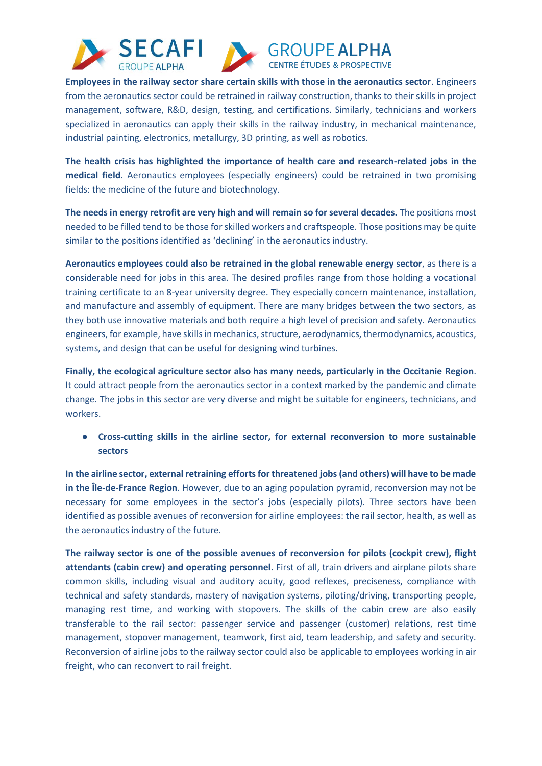





**Employees in the railway sector share certain skills with those in the aeronautics sector**. Engineers from the aeronautics sector could be retrained in railway construction, thanks to their skills in project management, software, R&D, design, testing, and certifications. Similarly, technicians and workers specialized in aeronautics can apply their skills in the railway industry, in mechanical maintenance, industrial painting, electronics, metallurgy, 3D printing, as well as robotics.

**The health crisis has highlighted the importance of health care and research-related jobs in the medical field**. Aeronautics employees (especially engineers) could be retrained in two promising fields: the medicine of the future and biotechnology.

**The needs in energy retrofit are very high and will remain so for several decades.** The positions most needed to be filled tend to be those for skilled workers and craftspeople. Those positions may be quite similar to the positions identified as 'declining' in the aeronautics industry.

**Aeronautics employees could also be retrained in the global renewable energy sector**, as there is a considerable need for jobs in this area. The desired profiles range from those holding a vocational training certificate to an 8-year university degree. They especially concern maintenance, installation, and manufacture and assembly of equipment. There are many bridges between the two sectors, as they both use innovative materials and both require a high level of precision and safety. Aeronautics engineers, for example, have skills in mechanics, structure, aerodynamics, thermodynamics, acoustics, systems, and design that can be useful for designing wind turbines.

**Finally, the ecological agriculture sector also has many needs, particularly in the Occitanie Region**. It could attract people from the aeronautics sector in a context marked by the pandemic and climate change. The jobs in this sector are very diverse and might be suitable for engineers, technicians, and workers.

● **Cross-cutting skills in the airline sector, for external reconversion to more sustainable sectors**

**In the airline sector, external retraining efforts for threatened jobs (and others) will have to be made in the Île-de-France Region**. However, due to an aging population pyramid, reconversion may not be necessary for some employees in the sector's jobs (especially pilots). Three sectors have been identified as possible avenues of reconversion for airline employees: the rail sector, health, as well as the aeronautics industry of the future.

**The railway sector is one of the possible avenues of reconversion for pilots (cockpit crew), flight attendants (cabin crew) and operating personnel**. First of all, train drivers and airplane pilots share common skills, including visual and auditory acuity, good reflexes, preciseness, compliance with technical and safety standards, mastery of navigation systems, piloting/driving, transporting people, managing rest time, and working with stopovers. The skills of the cabin crew are also easily transferable to the rail sector: passenger service and passenger (customer) relations, rest time management, stopover management, teamwork, first aid, team leadership, and safety and security. Reconversion of airline jobs to the railway sector could also be applicable to employees working in air freight, who can reconvert to rail freight.